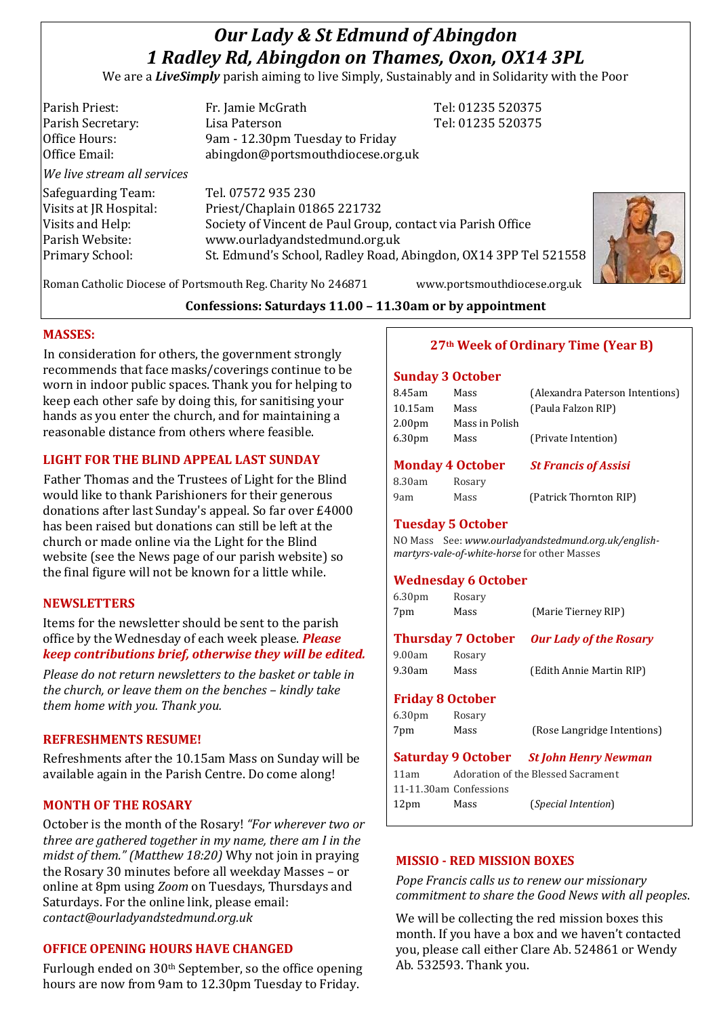# *Our Lady & St Edmund of Abingdon 1 Radley Rd, Abingdon on Thames, Oxon, OX14 3PL*

We are a *LiveSimply* parish aiming to live Simply, Sustainably and in Solidarity with the Poor

| Parish Priest:<br>Parish Secretary:<br>Office Hours:<br>Office Email:                                  | Fr. Jamie McGrath<br>Lisa Paterson<br>9am - 12.30pm Tuesday to Friday<br>abingdon@portsmouthdiocese.org.uk                                                                                                            | Tel: 01235 520375<br>Tel: 01235 520375 |
|--------------------------------------------------------------------------------------------------------|-----------------------------------------------------------------------------------------------------------------------------------------------------------------------------------------------------------------------|----------------------------------------|
| We live stream all services                                                                            |                                                                                                                                                                                                                       |                                        |
| Safeguarding Team:<br>Visits at JR Hospital:<br>Visits and Help:<br>Parish Website:<br>Primary School: | Tel. 07572 935 230<br>Priest/Chaplain 01865 221732<br>Society of Vincent de Paul Group, contact via Parish Office<br>www.ourladyandstedmund.org.uk<br>St. Edmund's School, Radley Road, Abingdon, OX14 3PP Tel 521558 |                                        |



# **Confessions: Saturdays 11.00 – 11.30am or by appointment**

## **MASSES:**

In consideration for others, the government strongly recommends that face masks/coverings continue to be worn in indoor public spaces. Thank you for helping to keep each other safe by doing this, for sanitising your hands as you enter the church, and for maintaining a reasonable distance from others where feasible.

# **LIGHT FOR THE BLIND APPEAL LAST SUNDAY**

Father Thomas and the Trustees of Light for the Blind would like to thank Parishioners for their generous donations after last Sunday's appeal. So far over £4000 has been raised but donations can still be left at the church or made online via the Light for the Blind website (see the News page of our parish website) so the final figure will not be known for a little while.

## **NEWSLETTERS**

Items for the newsletter should be sent to the parish office by the Wednesday of each week please. *Please keep contributions brief, otherwise they will be edited.*

*Please do not return newsletters to the basket or table in the church, or leave them on the benches – kindly take them home with you. Thank you.*

#### **REFRESHMENTS RESUME!**

Refreshments after the 10.15am Mass on Sunday will be available again in the Parish Centre. Do come along!

## **MONTH OF THE ROSARY**

October is the month of the Rosary! *"For wherever two or three are gathered together in my name, there am I in the midst of them." (Matthew 18:20)* Why not join in praying the Rosary 30 minutes before all weekday Masses – or online at 8pm using *Zoom* on Tuesdays, Thursdays and Saturdays. For the online link, please email: *contact@ourladyandstedmund.org.uk*

# **OFFICE OPENING HOURS HAVE CHANGED**

Furlough ended on 30<sup>th</sup> September, so the office opening hours are now from 9am to 12.30pm Tuesday to Friday.

# **27th Week of Ordinary Time (Year B)**

#### **Sunday 3 October**

| 8.45am                  | Mass           | (Alexandra Paterson Intentions) |
|-------------------------|----------------|---------------------------------|
| $10.15$ am              | Mass           | (Paula Falzon RIP)              |
| 2.00 <sub>pm</sub>      | Mass in Polish |                                 |
| 6.30 <sub>pm</sub>      | Mass           | (Private Intention)             |
|                         |                |                                 |
|                         |                |                                 |
| <b>Monday 4 October</b> |                | <b>St Francis of Assisi</b>     |
| 8.30am                  | Rosary         |                                 |

#### **Tuesday 5 October**

NO Mass See: *www.ourladyandstedmund.org.uk/englishmartyrs-vale-of-white-horse* for other Masses

#### **Wednesday 6 October**

| 6.30 <sub>pm</sub> | Rosary                    |                               |
|--------------------|---------------------------|-------------------------------|
| 7pm                | Mass                      | (Marie Tierney RIP)           |
|                    | <b>Thursday 7 October</b> | <b>Our Lady of the Rosary</b> |
| 9.00am             | Rosary                    |                               |
| 9.30am             | Mass                      | (Edith Annie Martin RIP)      |

## **Friday 8 October**

6.30pm Rosary

7pm Mass (Rose Langridge Intentions)

**Saturday 9 October** *St John Henry Newman* 11am Adoration of the Blessed Sacrament 11-11.30am Confessions 12pm Mass (*Special Intention*)

## **MISSIO - RED MISSION BOXES**

*Pope Francis calls us to renew our missionary commitment to share the Good News with all peoples*.

We will be collecting the red mission boxes this month. If you have a box and we haven't contacted you, please call either Clare Ab. 524861 or Wendy Ab. 532593. Thank you.